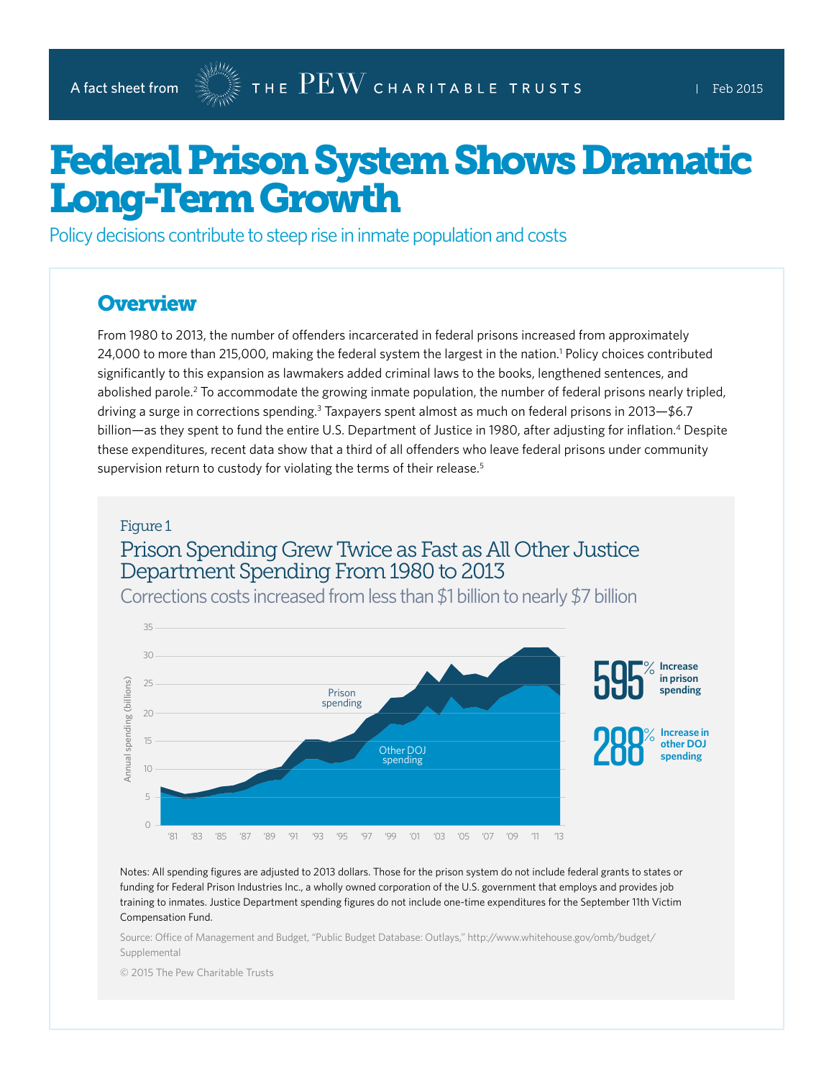# Federal Prison System Shows Dramatic Long-Term Growth

Policy decisions contribute to steep rise in inmate population and costs

### **Overview**

From 1980 to 2013, the number of offenders incarcerated in federal prisons increased from approximately 24,000 to more than 215,000, making the federal system the largest in the nation.<sup>1</sup> Policy choices contributed significantly to this expansion as lawmakers added criminal laws to the books, lengthened sentences, and abolished parole.<sup>2</sup> To accommodate the growing inmate population, the number of federal prisons nearly tripled, driving a surge in corrections spending.<sup>3</sup> Taxpayers spent almost as much on federal prisons in 2013–\$6.7 billion—as they spent to fund the entire U.S. Department of Justice in 1980, after adjusting for inflation.<sup>4</sup> Despite these expenditures, recent data show that a third of all offenders who leave federal prisons under community supervision return to custody for violating the terms of their release.<sup>5</sup>

#### Figure 1

# Prison Spending Grew Twice as Fast as All Other Justice Department Spending From 1980 to 2013



Corrections costs increased from less than \$1 billion to nearly \$7 billion

Notes: All spending figures are adjusted to 2013 dollars. Those for the prison system do not include federal grants to states or funding for Federal Prison Industries Inc., a wholly owned corporation of the U.S. government that employs and provides job training to inmates. Justice Department spending figures do not include one-time expenditures for the September 11th Victim Compensation Fund.

Source: Office of Management and Budget, "Public Budget Database: Outlays," [http://www.whitehouse.gov/omb/budget/](http://www.whitehouse.gov/omb/budget/Supplemental) [Supplemental](http://www.whitehouse.gov/omb/budget/Supplemental)